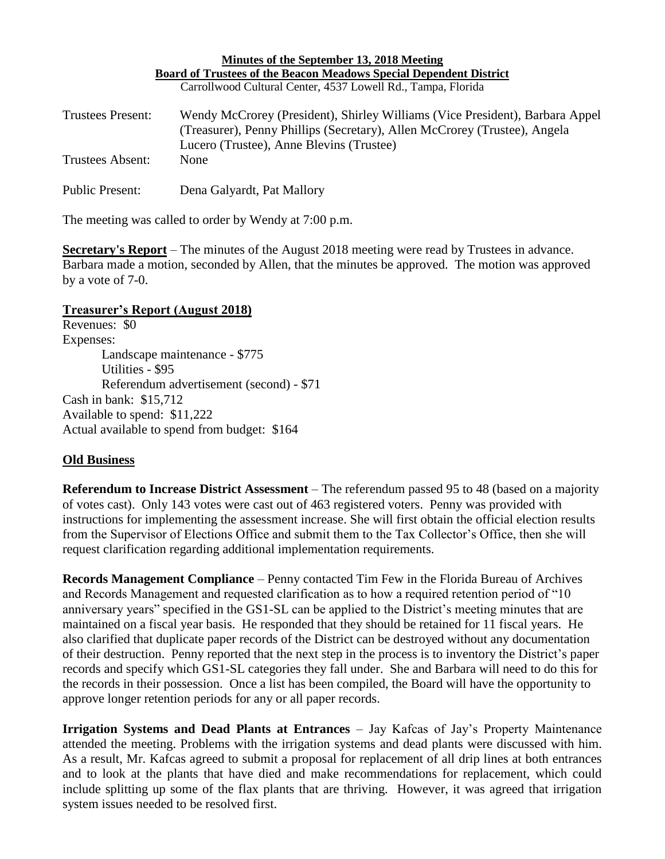| Minutes of the September 13, 2018 Meeting                                 |                                                                              |
|---------------------------------------------------------------------------|------------------------------------------------------------------------------|
| <b>Board of Trustees of the Beacon Meadows Special Dependent District</b> |                                                                              |
|                                                                           | Carrollwood Cultural Center, 4537 Lowell Rd., Tampa, Florida                 |
| Trustees Present:                                                         | Wendy McCrorey (President), Shirley Williams (Vice President), Barbara Appel |
|                                                                           | (Treasurer), Penny Phillips (Secretary), Allen McCrorey (Trustee), Angela    |
|                                                                           | Lucero (Trustee), Anne Blevins (Trustee)                                     |
| Trustees Absent:                                                          | None                                                                         |
| <b>Public Present:</b>                                                    | Dena Galyardt, Pat Mallory                                                   |

The meeting was called to order by Wendy at 7:00 p.m.

**Secretary's Report** – The minutes of the August 2018 meeting were read by Trustees in advance. Barbara made a motion, seconded by Allen, that the minutes be approved. The motion was approved by a vote of 7-0.

## **Treasurer's Report (August 2018)**

Revenues: \$0 Expenses: Landscape maintenance - \$775 Utilities - \$95 Referendum advertisement (second) - \$71 Cash in bank: \$15,712 Available to spend: \$11,222 Actual available to spend from budget: \$164

## **Old Business**

**Referendum to Increase District Assessment** – The referendum passed 95 to 48 (based on a majority of votes cast). Only 143 votes were cast out of 463 registered voters. Penny was provided with instructions for implementing the assessment increase. She will first obtain the official election results from the Supervisor of Elections Office and submit them to the Tax Collector's Office, then she will request clarification regarding additional implementation requirements.

**Records Management Compliance** – Penny contacted Tim Few in the Florida Bureau of Archives and Records Management and requested clarification as to how a required retention period of "10 anniversary years" specified in the GS1-SL can be applied to the District's meeting minutes that are maintained on a fiscal year basis. He responded that they should be retained for 11 fiscal years. He also clarified that duplicate paper records of the District can be destroyed without any documentation of their destruction. Penny reported that the next step in the process is to inventory the District's paper records and specify which GS1-SL categories they fall under. She and Barbara will need to do this for the records in their possession. Once a list has been compiled, the Board will have the opportunity to approve longer retention periods for any or all paper records.

**Irrigation Systems and Dead Plants at Entrances** – Jay Kafcas of Jay's Property Maintenance attended the meeting. Problems with the irrigation systems and dead plants were discussed with him. As a result, Mr. Kafcas agreed to submit a proposal for replacement of all drip lines at both entrances and to look at the plants that have died and make recommendations for replacement, which could include splitting up some of the flax plants that are thriving. However, it was agreed that irrigation system issues needed to be resolved first.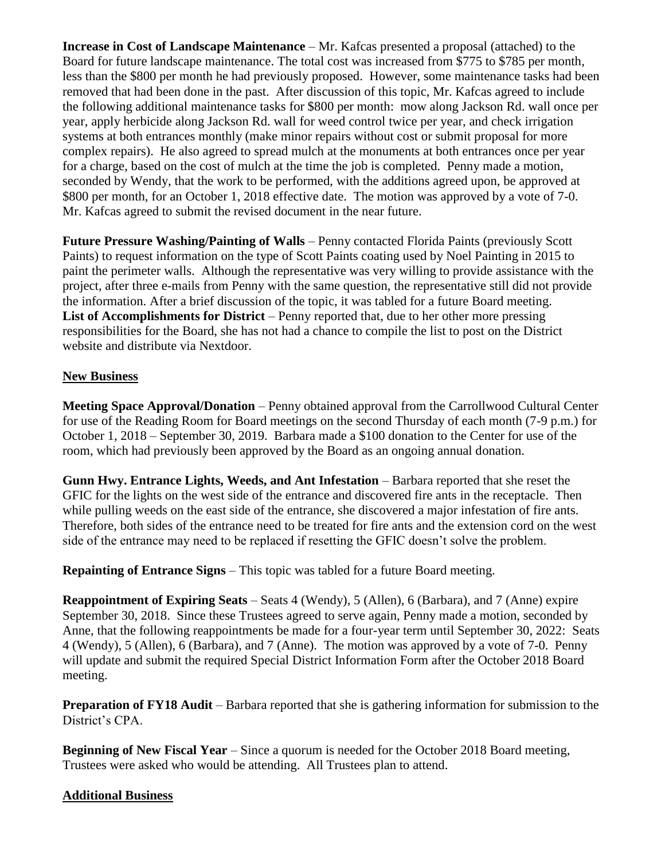**Increase in Cost of Landscape Maintenance** – Mr. Kafcas presented a proposal (attached) to the Board for future landscape maintenance. The total cost was increased from \$775 to \$785 per month, less than the \$800 per month he had previously proposed. However, some maintenance tasks had been removed that had been done in the past. After discussion of this topic, Mr. Kafcas agreed to include the following additional maintenance tasks for \$800 per month: mow along Jackson Rd. wall once per year, apply herbicide along Jackson Rd. wall for weed control twice per year, and check irrigation systems at both entrances monthly (make minor repairs without cost or submit proposal for more complex repairs). He also agreed to spread mulch at the monuments at both entrances once per year for a charge, based on the cost of mulch at the time the job is completed. Penny made a motion, seconded by Wendy, that the work to be performed, with the additions agreed upon, be approved at \$800 per month, for an October 1, 2018 effective date. The motion was approved by a vote of 7-0. Mr. Kafcas agreed to submit the revised document in the near future.

**Future Pressure Washing/Painting of Walls** – Penny contacted Florida Paints (previously Scott Paints) to request information on the type of Scott Paints coating used by Noel Painting in 2015 to paint the perimeter walls. Although the representative was very willing to provide assistance with the project, after three e-mails from Penny with the same question, the representative still did not provide the information. After a brief discussion of the topic, it was tabled for a future Board meeting. **List of Accomplishments for District** – Penny reported that, due to her other more pressing responsibilities for the Board, she has not had a chance to compile the list to post on the District website and distribute via Nextdoor.

## **New Business**

**Meeting Space Approval/Donation** – Penny obtained approval from the Carrollwood Cultural Center for use of the Reading Room for Board meetings on the second Thursday of each month (7-9 p.m.) for October 1, 2018 – September 30, 2019. Barbara made a \$100 donation to the Center for use of the room, which had previously been approved by the Board as an ongoing annual donation.

**Gunn Hwy. Entrance Lights, Weeds, and Ant Infestation** – Barbara reported that she reset the GFIC for the lights on the west side of the entrance and discovered fire ants in the receptacle. Then while pulling weeds on the east side of the entrance, she discovered a major infestation of fire ants. Therefore, both sides of the entrance need to be treated for fire ants and the extension cord on the west side of the entrance may need to be replaced if resetting the GFIC doesn't solve the problem.

**Repainting of Entrance Signs** – This topic was tabled for a future Board meeting.

**Reappointment of Expiring Seats** – Seats 4 (Wendy), 5 (Allen), 6 (Barbara), and 7 (Anne) expire September 30, 2018. Since these Trustees agreed to serve again, Penny made a motion, seconded by Anne, that the following reappointments be made for a four-year term until September 30, 2022: Seats 4 (Wendy), 5 (Allen), 6 (Barbara), and 7 (Anne). The motion was approved by a vote of 7-0. Penny will update and submit the required Special District Information Form after the October 2018 Board meeting.

**Preparation of FY18 Audit** – Barbara reported that she is gathering information for submission to the District's CPA.

**Beginning of New Fiscal Year** – Since a quorum is needed for the October 2018 Board meeting, Trustees were asked who would be attending. All Trustees plan to attend.

## **Additional Business**